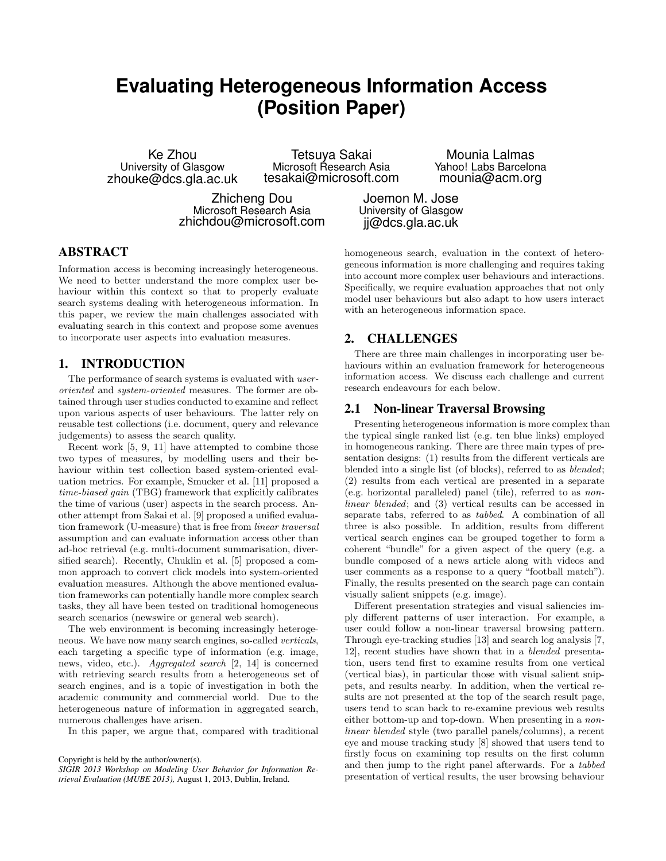# **Evaluating Heterogeneous Information Access (Position Paper)**

Ke Zhou University of Glasgow zhouke@dcs.gla.ac.uk

Tetsuya Sakai Microsoft Research Asia tesakai@microsoft.com

Zhicheng Dou Microsoft Research Asia zhichdou@microsoft.com

Mounia Lalmas Yahoo! Labs Barcelona mounia@acm.org

Joemon M. Jose University of Glasgow jj@dcs.gla.ac.uk

# ABSTRACT

Information access is becoming increasingly heterogeneous. We need to better understand the more complex user behaviour within this context so that to properly evaluate search systems dealing with heterogeneous information. In this paper, we review the main challenges associated with evaluating search in this context and propose some avenues to incorporate user aspects into evaluation measures.

## 1. INTRODUCTION

The performance of search systems is evaluated with *user*oriented and system-oriented measures. The former are obtained through user studies conducted to examine and reflect upon various aspects of user behaviours. The latter rely on reusable test collections (i.e. document, query and relevance judgements) to assess the search quality.

Recent work [5, 9, 11] have attempted to combine those two types of measures, by modelling users and their behaviour within test collection based system-oriented evaluation metrics. For example, Smucker et al. [11] proposed a time-biased gain (TBG) framework that explicitly calibrates the time of various (user) aspects in the search process. Another attempt from Sakai et al. [9] proposed a unified evaluation framework (U-measure) that is free from linear traversal assumption and can evaluate information access other than ad-hoc retrieval (e.g. multi-document summarisation, diversified search). Recently, Chuklin et al. [5] proposed a common approach to convert click models into system-oriented evaluation measures. Although the above mentioned evaluation frameworks can potentially handle more complex search tasks, they all have been tested on traditional homogeneous search scenarios (newswire or general web search).

The web environment is becoming increasingly heterogeneous. We have now many search engines, so-called verticals, each targeting a specific type of information (e.g. image, news, video, etc.). Aggregated search [2, 14] is concerned with retrieving search results from a heterogeneous set of search engines, and is a topic of investigation in both the academic community and commercial world. Due to the heterogeneous nature of information in aggregated search, numerous challenges have arisen.

In this paper, we argue that, compared with traditional

homogeneous search, evaluation in the context of heterogeneous information is more challenging and requires taking into account more complex user behaviours and interactions. Specifically, we require evaluation approaches that not only model user behaviours but also adapt to how users interact with an heterogeneous information space.

# 2. CHALLENGES

There are three main challenges in incorporating user behaviours within an evaluation framework for heterogeneous information access. We discuss each challenge and current research endeavours for each below.

#### 2.1 Non-linear Traversal Browsing

Presenting heterogeneous information is more complex than the typical single ranked list (e.g. ten blue links) employed in homogeneous ranking. There are three main types of presentation designs: (1) results from the different verticals are blended into a single list (of blocks), referred to as blended; (2) results from each vertical are presented in a separate (e.g. horizontal paralleled) panel (tile), referred to as nonlinear blended; and (3) vertical results can be accessed in separate tabs, referred to as tabbed. A combination of all three is also possible. In addition, results from different vertical search engines can be grouped together to form a coherent "bundle" for a given aspect of the query (e.g. a bundle composed of a news article along with videos and user comments as a response to a query "football match"). Finally, the results presented on the search page can contain visually salient snippets (e.g. image).

Different presentation strategies and visual saliencies imply different patterns of user interaction. For example, a user could follow a non-linear traversal browsing pattern. Through eye-tracking studies [13] and search log analysis [7, 12], recent studies have shown that in a blended presentation, users tend first to examine results from one vertical (vertical bias), in particular those with visual salient snippets, and results nearby. In addition, when the vertical results are not presented at the top of the search result page, users tend to scan back to re-examine previous web results either bottom-up and top-down. When presenting in a nonlinear blended style (two parallel panels/columns), a recent eye and mouse tracking study [8] showed that users tend to firstly focus on examining top results on the first column and then jump to the right panel afterwards. For a tabbed presentation of vertical results, the user browsing behaviour

Copyright is held by the author/owner(s).

*SIGIR 2013 Workshop on Modeling User Behavior for Information Retrieval Evaluation (MUBE 2013),* August 1, 2013, Dublin, Ireland.